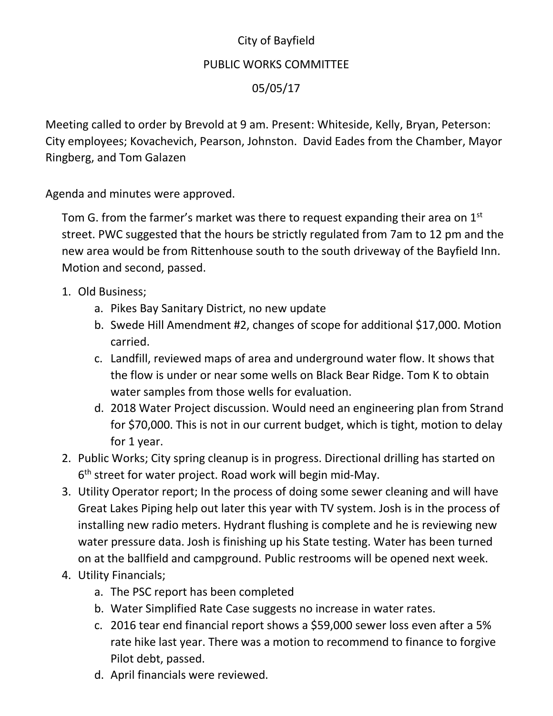## City of Bayfield PUBLIC WORKS COMMITTEE 05/05/17

Meeting called to order by Brevold at 9 am. Present: Whiteside, Kelly, Bryan, Peterson: City employees; Kovachevich, Pearson, Johnston. David Eades from the Chamber, Mayor Ringberg, and Tom Galazen

Agenda and minutes were approved.

Tom G. from the farmer's market was there to request expanding their area on 1<sup>st</sup> street. PWC suggested that the hours be strictly regulated from 7am to 12 pm and the new area would be from Rittenhouse south to the south driveway of the Bayfield Inn. Motion and second, passed.

- 1. Old Business;
	- a. Pikes Bay Sanitary District, no new update
	- b. Swede Hill Amendment #2, changes of scope for additional \$17,000. Motion carried.
	- c. Landfill, reviewed maps of area and underground water flow. It shows that the flow is under or near some wells on Black Bear Ridge. Tom K to obtain water samples from those wells for evaluation.
	- d. 2018 Water Project discussion. Would need an engineering plan from Strand for \$70,000. This is not in our current budget, which is tight, motion to delay for 1 year.
- 2. Public Works; City spring cleanup is in progress. Directional drilling has started on 6<sup>th</sup> street for water project. Road work will begin mid-May.
- 3. Utility Operator report; In the process of doing some sewer cleaning and will have Great Lakes Piping help out later this year with TV system. Josh is in the process of installing new radio meters. Hydrant flushing is complete and he is reviewing new water pressure data. Josh is finishing up his State testing. Water has been turned on at the ballfield and campground. Public restrooms will be opened next week.
- 4. Utility Financials;
	- a. The PSC report has been completed
	- b. Water Simplified Rate Case suggests no increase in water rates.
	- c. 2016 tear end financial report shows a \$59,000 sewer loss even after a 5% rate hike last year. There was a motion to recommend to finance to forgive Pilot debt, passed.
	- d. April financials were reviewed.